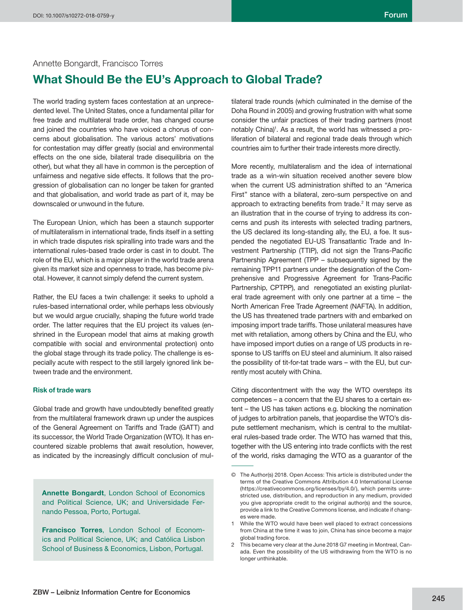## Annette Bongardt, Francisco Torres

# **What Should Be the EU's Approach to Global Trade?**

The world trading system faces contestation at an unprecedented level. The United States, once a fundamental pillar for free trade and multilateral trade order, has changed course and joined the countries who have voiced a chorus of concerns about globalisation. The various actors' motivations for contestation may differ greatly (social and environmental effects on the one side, bilateral trade disequilibria on the other), but what they all have in common is the perception of unfairness and negative side effects. It follows that the progression of globalisation can no longer be taken for granted and that globalisation, and world trade as part of it, may be downscaled or unwound in the future.

The European Union, which has been a staunch supporter of multilateralism in international trade, finds itself in a setting in which trade disputes risk spiralling into trade wars and the international rules-based trade order is cast in to doubt. The role of the EU, which is a major player in the world trade arena given its market size and openness to trade, has become pivotal. However, it cannot simply defend the current system.

Rather, the EU faces a twin challenge: it seeks to uphold a rules-based international order, while perhaps less obviously but we would argue crucially, shaping the future world trade order. The latter requires that the EU project its values (enshrined in the European model that aims at making growth compatible with social and environmental protection) onto the global stage through its trade policy. The challenge is especially acute with respect to the still largely ignored link between trade and the environment.

#### **Risk of trade wars**

Global trade and growth have undoubtedly benefited greatly from the multilateral framework drawn up under the auspices of the General Agreement on Tariffs and Trade (GATT) and its successor, the World Trade Organization (WTO). It has encountered sizable problems that await resolution, however, as indicated by the increasingly difficult conclusion of mul-

**Annette Bongardt**, London School of Economics and Political Science, UK; and Universidade Fernando Pessoa, Porto, Portugal.

**Francisco Torres**, London School of Economics and Political Science, UK; and Católica Lisbon School of Business & Economics, Lisbon, Portugal.

tilateral trade rounds (which culminated in the demise of the Doha Round in 2005) and growing frustration with what some consider the unfair practices of their trading partners (most notably China)<sup>1</sup>. As a result, the world has witnessed a proliferation of bilateral and regional trade deals through which countries aim to further their trade interests more directly.

More recently, multilateralism and the idea of international trade as a win-win situation received another severe blow when the current US administration shifted to an "America First" stance with a bilateral, zero-sum perspective on and approach to extracting benefits from trade. $2$  It may serve as an illustration that in the course of trying to address its concerns and push its interests with selected trading partners, the US declared its long-standing ally, the EU, a foe. It suspended the negotiated EU-US Transatlantic Trade and Investment Partnership (TTIP), did not sign the Trans-Pacific Partnership Agreement (TPP – subsequently signed by the remaining TPP11 partners under the designation of the Comprehensive and Progressive Agreement for Trans-Pacific Partnership, CPTPP), and renegotiated an existing plurilateral trade agreement with only one partner at a time – the North American Free Trade Agreement (NAFTA). In addition, the US has threatened trade partners with and embarked on imposing import trade tariffs. Those unilateral measures have met with retaliation, among others by China and the EU, who have imposed import duties on a range of US products in response to US tariffs on EU steel and aluminium. It also raised the possibility of tit-for-tat trade wars – with the EU, but currently most acutely with China.

Citing discontentment with the way the WTO oversteps its competences – a concern that the EU shares to a certain extent – the US has taken actions e.g. blocking the nomination of judges to arbitration panels, that jeopardise the WTO's dispute settlement mechanism, which is central to the multilateral rules-based trade order. The WTO has warned that this, together with the US entering into trade conflicts with the rest of the world, risks damaging the WTO as a guarantor of the

<sup>©</sup> The Author(s) 2018. Open Access: This article is distributed under the terms of the Creative Commons Attribution 4.0 International License (https://creativecommons.org/licenses/by/4.0/), which permits unrestricted use, distribution, and reproduction in any medium, provided you give appropriate credit to the original author(s) and the source, provide a link to the Creative Commons license, and indicate if changes were made.

<sup>1</sup> While the WTO would have been well placed to extract concessions from China at the time it was to join, China has since become a major global trading force.

<sup>2</sup> This became very clear at the June 2018 G7 meeting in Montreal, Canada. Even the possibility of the US withdrawing from the WTO is no longer unthinkable.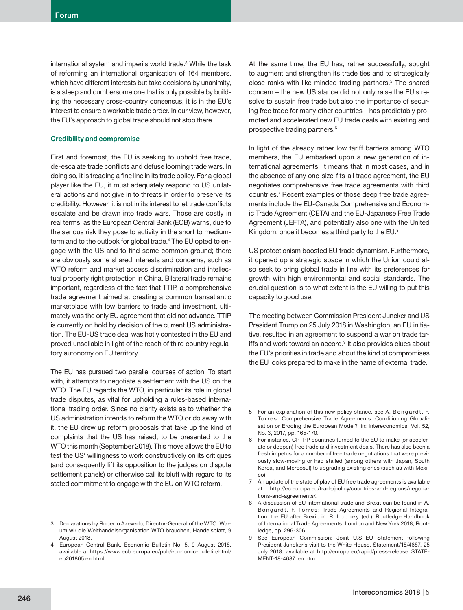international system and imperils world trade.<sup>3</sup> While the task of reforming an international organisation of 164 members, which have different interests but take decisions by unanimity, is a steep and cumbersome one that is only possible by building the necessary cross-country consensus, it is in the EU's interest to ensure a workable trade order. In our view, however, the EU's approach to global trade should not stop there.

### **Credibility and compromise**

First and foremost, the EU is seeking to uphold free trade, de-escalate trade conflicts and defuse looming trade wars. In doing so, it is treading a fine line in its trade policy. For a global player like the EU, it must adequately respond to US unilateral actions and not give in to threats in order to preserve its credibility. However, it is not in its interest to let trade conflicts escalate and be drawn into trade wars. Those are costly in real terms, as the European Central Bank (ECB) warns, due to the serious risk they pose to activity in the short to mediumterm and to the outlook for global trade.4 The EU opted to engage with the US and to find some common ground; there are obviously some shared interests and concerns, such as WTO reform and market access discrimination and intellectual property right protection in China. Bilateral trade remains important, regardless of the fact that TTIP, a comprehensive trade agreement aimed at creating a common transatlantic marketplace with low barriers to trade and investment, ultimately was the only EU agreement that did not advance. TTIP is currently on hold by decision of the current US administration. The EU-US trade deal was hotly contested in the EU and proved unsellable in light of the reach of third country regulatory autonomy on EU territory.

The EU has pursued two parallel courses of action. To start with, it attempts to negotiate a settlement with the US on the WTO. The EU regards the WTO, in particular its role in global trade disputes, as vital for upholding a rules-based international trading order. Since no clarity exists as to whether the US administration intends to reform the WTO or do away with it, the EU drew up reform proposals that take up the kind of complaints that the US has raised, to be presented to the WTO this month (September 2018). This move allows the EU to test the US' willingness to work constructively on its critiques (and consequently lift its opposition to the judges on dispute settlement panels) or otherwise call its bluff with regard to its stated commitment to engage with the EU on WTO reform.

At the same time, the EU has, rather successfully, sought to augment and strengthen its trade ties and to strategically close ranks with like-minded trading partners.<sup>5</sup> The shared concern – the new US stance did not only raise the EU's resolve to sustain free trade but also the importance of securing free trade for many other countries – has predictably promoted and accelerated new EU trade deals with existing and prospective trading partners.<sup>6</sup>

In light of the already rather low tariff barriers among WTO members, the EU embarked upon a new generation of international agreements. It means that in most cases, and in the absence of any one-size-fits-all trade agreement, the EU negotiates comprehensive free trade agreements with third countries.7 Recent examples of those deep free trade agreements include the EU-Canada Comprehensive and Economic Trade Agreement (CETA) and the EU-Japanese Free Trade Agreement (JEFTA), and potentially also one with the United Kingdom, once it becomes a third party to the EU.<sup>8</sup>

US protectionism boosted EU trade dynamism. Furthermore, it opened up a strategic space in which the Union could also seek to bring global trade in line with its preferences for growth with high environmental and social standards. The crucial question is to what extent is the EU willing to put this capacity to good use.

The meeting between Commission President Juncker and US President Trump on 25 July 2018 in Washington, an EU initiative, resulted in an agreement to suspend a war on trade tariffs and work toward an accord.<sup>9</sup> It also provides clues about the EU's priorities in trade and about the kind of compromises the EU looks prepared to make in the name of external trade.

<sup>3</sup> Declarations by Roberto Azevedo, Director-General of the WTO: Warum wir die Welthandelsorganisation WTO brauchen, Handelsblatt, 9 August 2018.

<sup>4</sup> European Central Bank, Economic Bulletin No. 5, 9 August 2018, available at https://www.ecb.europa.eu/pub/economic-bulletin/html/ eb201805.en.html.

<sup>5</sup> For an explanation of this new policy stance, see A. Bongardt, F. Torres: Comprehensive Trade Agreements: Conditioning Globalisation or Eroding the European Model?, in: Intereconomics, Vol. 52, No. 3, 2017, pp. 165-170.

<sup>6</sup> For instance, CPTPP countries turned to the EU to make (or accelerate or deepen) free trade and investment deals. There has also been a fresh impetus for a number of free trade negotiations that were previously slow-moving or had stalled (among others with Japan, South Korea, and Mercosul) to upgrading existing ones (such as with Mexico).

<sup>7</sup> An update of the state of play of EU free trade agreements is available at http://ec.europa.eu/trade/policy/countries-and-regions/negotiations-and-agreements/.

<sup>8</sup> A discussion of EU international trade and Brexit can be found in A. Bongardt, F. Torres: Trade Agreements and Regional Integration: the EU after Brexit, in: R. Looney (ed.): Routledge Handbook of International Trade Agreements, London and New York 2018, Routledge, pp. 296-306.

<sup>9</sup> See European Commission: Joint U.S.-EU Statement following President Juncker's visit to the White House, Statement/18/4687, 25 July 2018, available at http://europa.eu/rapid/press-release\_STATE-MENT-18-4687\_en.htm.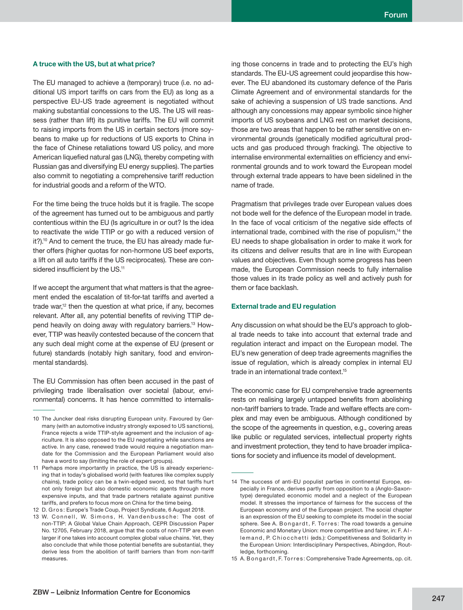### **A truce with the US, but at what price?**

The EU managed to achieve a (temporary) truce (i.e. no additional US import tariffs on cars from the EU) as long as a perspective EU-US trade agreement is negotiated without making substantial concessions to the US. The US will reassess (rather than lift) its punitive tariffs. The EU will commit to raising imports from the US in certain sectors (more soybeans to make up for reductions of US exports to China in the face of Chinese retaliations toward US policy, and more American liquefied natural gas (LNG), thereby competing with Russian gas and diversifying EU energy supplies). The parties also commit to negotiating a comprehensive tariff reduction for industrial goods and a reform of the WTO.

For the time being the truce holds but it is fragile. The scope of the agreement has turned out to be ambiguous and partly contentious within the EU (Is agriculture in or out? Is the idea to reactivate the wide TTIP or go with a reduced version of it?).<sup>10</sup> And to cement the truce, the EU has already made further offers (higher quotas for non-hormone US beef exports, a lift on all auto tariffs if the US reciprocates). These are considered insufficient by the US.<sup>11</sup>

If we accept the argument that what matters is that the agreement ended the escalation of tit-for-tat tariffs and averted a trade war,<sup>12</sup> then the question at what price, if any, becomes relevant. After all, any potential benefits of reviving TTIP depend heavily on doing away with regulatory barriers.13 However, TTIP was heavily contested because of the concern that any such deal might come at the expense of EU (present or future) standards (notably high sanitary, food and environmental standards).

The EU Commission has often been accused in the past of privileging trade liberalisation over societal (labour, environmental) concerns. It has hence committed to internalis-

ing those concerns in trade and to protecting the EU's high standards. The EU-US agreement could jeopardise this however. The EU abandoned its customary defence of the Paris Climate Agreement and of environmental standards for the sake of achieving a suspension of US trade sanctions. And although any concessions may appear symbolic since higher imports of US soybeans and LNG rest on market decisions, those are two areas that happen to be rather sensitive on environmental grounds (genetically modified agricultural products and gas produced through fracking). The objective to internalise environmental externalities on efficiency and environmental grounds and to work toward the European model through external trade appears to have been sidelined in the name of trade.

Pragmatism that privileges trade over European values does not bode well for the defence of the European model in trade. In the face of vocal criticism of the negative side effects of international trade, combined with the rise of populism,<sup>14</sup> the EU needs to shape globalisation in order to make it work for its citizens and deliver results that are in line with European values and objectives. Even though some progress has been made, the European Commission needs to fully internalise those values in its trade policy as well and actively push for them or face backlash.

#### **External trade and EU regulation**

Any discussion on what should be the EU's approach to global trade needs to take into account that external trade and regulation interact and impact on the European model. The EU's new generation of deep trade agreements magnifies the issue of regulation, which is already complex in internal EU trade in an international trade context.<sup>15</sup>

The economic case for EU comprehensive trade agreements rests on realising largely untapped benefits from abolishing non-tariff barriers to trade. Trade and welfare effects are complex and may even be ambiguous. Although conditioned by the scope of the agreements in question, e.g., covering areas like public or regulated services, intellectual property rights and investment protection, they tend to have broader implications for society and influence its model of development.

<sup>10</sup> The Juncker deal risks disrupting European unity. Favoured by Germany (with an automotive industry strongly exposed to US sanctions), France rejects a wide TTIP-style agreement and the inclusion of agriculture. It is also opposed to the EU negotiating while sanctions are active. In any case, renewed trade would require a negotiation mandate for the Commission and the European Parliament would also have a word to say (limiting the role of expert groups).

<sup>11</sup> Perhaps more importantly in practice, the US is already experiencing that in today's globalised world (with features like complex supply chains), trade policy can be a twin-edged sword, so that tariffs hurt not only foreign but also domestic economic agents through more expensive inputs, and that trade partners retaliate against punitive tariffs, and prefers to focus more on China for the time being.

<sup>12</sup> D. Gros: Europe's Trade Coup, Project Syndicate, 6 August 2018.

<sup>13</sup> W. Connell, W. Simons, H. Vandenbussche: The cost of non-TTIP: A Global Value Chain Approach, CEPR Discussion Paper No. 12705, February 2018, argue that the costs of non-TTIP are even larger if one takes into account complex global value chains. Yet, they also conclude that while those potential benefits are substantial, they derive less from the abolition of tariff barriers than from non-tariff measures.

<sup>14</sup> The success of anti-EU populist parties in continental Europe, especially in France, derives partly from opposition to a (Anglo-Saxontype) deregulated economic model and a neglect of the European model. It stresses the importance of fairness for the success of the European economy and of the European project. The social chapter is an expression of the EU seeking to complete its model in the social sphere. See A. B on g ard t, F. Torres: The road towards a genuine Economic and Monetary Union: more competitive and fairer, in: F. A l lemand, P. Chiocchetti (eds.): Competitiveness and Solidarity in the European Union: Interdisciplinary Perspectives, Abingdon, Routledge, forthcoming.

<sup>15</sup> A. B on g ard t, F. Torres: Comprehensive Trade Agreements, op. cit.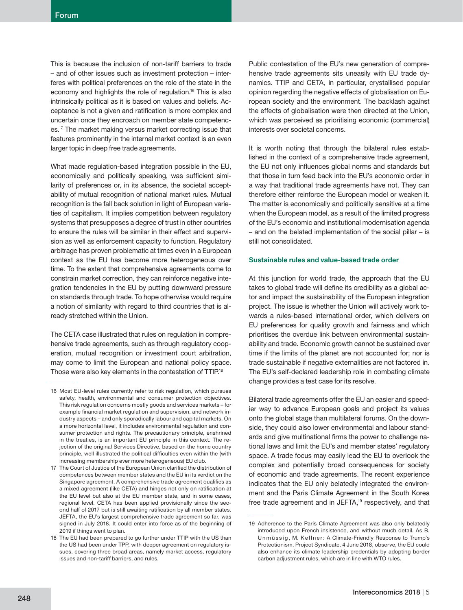This is because the inclusion of non-tariff barriers to trade – and of other issues such as investment protection – interferes with political preferences on the role of the state in the economy and highlights the role of regulation.<sup>16</sup> This is also intrinsically political as it is based on values and beliefs. Acceptance is not a given and ratification is more complex and uncertain once they encroach on member state competences.17 The market making versus market correcting issue that features prominently in the internal market context is an even larger topic in deep free trade agreements.

What made regulation-based integration possible in the EU, economically and politically speaking, was sufficient similarity of preferences or, in its absence, the societal acceptability of mutual recognition of national market rules. Mutual recognition is the fall back solution in light of European varieties of capitalism. It implies competition between regulatory systems that presupposes a degree of trust in other countries to ensure the rules will be similar in their effect and supervision as well as enforcement capacity to function. Regulatory arbitrage has proven problematic at times even in a European context as the EU has become more heterogeneous over time. To the extent that comprehensive agreements come to constrain market correction, they can reinforce negative integration tendencies in the EU by putting downward pressure on standards through trade. To hope otherwise would require a notion of similarity with regard to third countries that is already stretched within the Union.

The CETA case illustrated that rules on regulation in comprehensive trade agreements, such as through regulatory cooperation, mutual recognition or investment court arbitration, may come to limit the European and national policy space. Those were also key elements in the contestation of TTIP.18

Public contestation of the EU's new generation of comprehensive trade agreements sits uneasily with EU trade dynamics. TTIP and CETA, in particular, crystallised popular opinion regarding the negative effects of globalisation on European society and the environment. The backlash against the effects of globalisation were then directed at the Union, which was perceived as prioritising economic (commercial) interests over societal concerns.

It is worth noting that through the bilateral rules established in the context of a comprehensive trade agreement, the EU not only influences global norms and standards but that those in turn feed back into the EU's economic order in a way that traditional trade agreements have not. They can therefore either reinforce the European model or weaken it. The matter is economically and politically sensitive at a time when the European model, as a result of the limited progress of the EU's economic and institutional modernisation agenda – and on the belated implementation of the social pillar – is still not consolidated.

#### **Sustainable rules and value-based trade order**

At this junction for world trade, the approach that the EU takes to global trade will define its credibility as a global actor and impact the sustainability of the European integration project. The issue is whether the Union will actively work towards a rules-based international order, which delivers on EU preferences for quality growth and fairness and which prioritises the overdue link between environmental sustainability and trade. Economic growth cannot be sustained over time if the limits of the planet are not accounted for; nor is trade sustainable if negative externalities are not factored in. The EU's self-declared leadership role in combating climate change provides a test case for its resolve.

Bilateral trade agreements offer the EU an easier and speedier way to advance European goals and project its values onto the global stage than multilateral forums. On the downside, they could also lower environmental and labour standards and give multinational firms the power to challenge national laws and limit the EU's and member states' regulatory space. A trade focus may easily lead the EU to overlook the complex and potentially broad consequences for society of economic and trade agreements. The recent experience indicates that the EU only belatedly integrated the environment and the Paris Climate Agreement in the South Korea free trade agreement and in JEFTA,<sup>19</sup> respectively, and that

<sup>16</sup> Most EU-level rules currently refer to risk regulation, which pursues safety, health, environmental and consumer protection objectives. This risk regulation concerns mostly goods and services markets – for example financial market regulation and supervision, and network industry aspects – and only sporadically labour and capital markets. On a more horizontal level, it includes environmental regulation and consumer protection and rights. The precautionary principle, enshrined in the treaties, is an important EU principle in this context. The rejection of the original Services Directive, based on the home country principle, well illustrated the political difficulties even within the (with increasing membership ever more heterogeneous) EU club.

<sup>17</sup> The Court of Justice of the European Union clarified the distribution of competences between member states and the EU in its verdict on the Singapore agreement. A comprehensive trade agreement qualifies as a mixed agreement (like CETA) and hinges not only on ratification at the EU level but also at the EU member state, and in some cases, regional level. CETA has been applied provisionally since the second half of 2017 but is still awaiting ratification by all member states. JEFTA, the EU's largest comprehensive trade agreement so far, was signed in July 2018. It could enter into force as of the beginning of 2019 if things went to plan.

<sup>18</sup> The EU had been prepared to go further under TTIP with the US than the US had been under TPP, with deeper agreement on regulatory issues, covering three broad areas, namely market access, regulatory issues and non-tariff barriers, and rules.

<sup>19</sup> Adherence to the Paris Climate Agreement was also only belatedly introduced upon French insistence, and without much detail. As B. Unmüssig, M. Kellner: A Climate-Friendly Response to Trump's Protectionism, Project Syndicate, 4 June 2018, observe, the EU could also enhance its climate leadership credentials by adopting border carbon adjustment rules, which are in line with WTO rules.